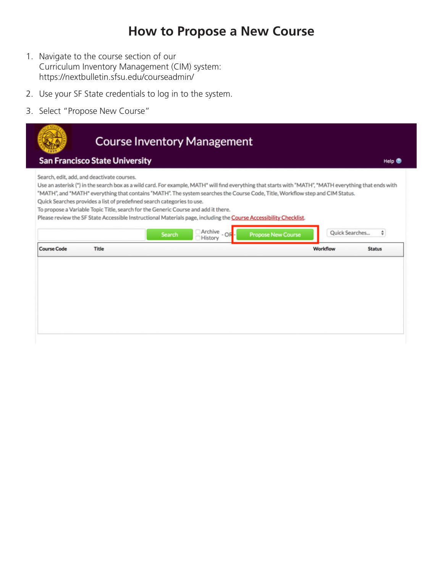# **How to Propose a New Course**

- 1. Navigate to the course section of our Curriculum Inventory Management (CIM) system: https://nextbulletin.sfsu.edu/courseadmin/
- 2. Use your SF State credentials to log in to the system.
- 3. Select "Propose New Course"

| Search, edit, add, and deactivate courses. |                                                                                    |                                                                                                                                                        |                           |                |
|--------------------------------------------|------------------------------------------------------------------------------------|--------------------------------------------------------------------------------------------------------------------------------------------------------|---------------------------|----------------|
|                                            |                                                                                    | Use an asterisk (*) in the search box as a wild card. For example, MATH* will find everything that starts with "MATH", *MATH everything that ends with |                           |                |
|                                            | Quick Searches provides a list of predefined search categories to use.             | "MATH", and "MATH" everything that contains "MATH". The system searches the Course Code, Title, Workflow step and CIM Status.                          |                           |                |
|                                            | To propose a Variable Topic Title, search for the Generic Course and add it there. |                                                                                                                                                        |                           |                |
|                                            |                                                                                    | Please review the SF State Accessible Instructional Materials page, including the Course Accessibility Checklist.                                      |                           |                |
|                                            | Search                                                                             | Archive<br>History                                                                                                                                     | <b>Propose New Course</b> | Quick Searches |
| <b>Course Code</b><br><b>Title</b>         |                                                                                    |                                                                                                                                                        | Workflow                  | <b>Status</b>  |
|                                            |                                                                                    |                                                                                                                                                        |                           |                |
|                                            |                                                                                    |                                                                                                                                                        |                           |                |
|                                            |                                                                                    |                                                                                                                                                        |                           |                |
|                                            |                                                                                    |                                                                                                                                                        |                           |                |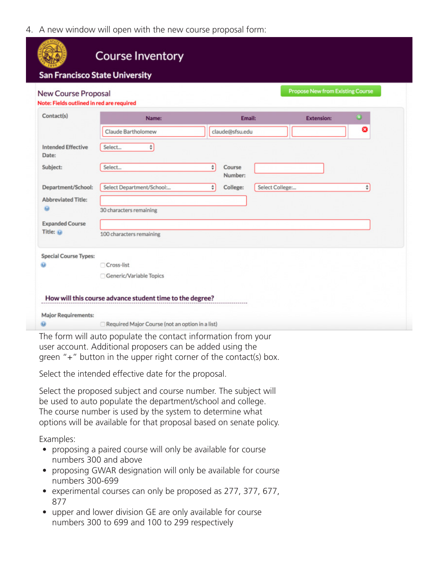4. A new window will open with the new course proposal form:

| New Course Proposal<br>Note: Fields outlined in red are required |                           |        |                   |                 | <b>Propose New from Existing Course</b> |               |
|------------------------------------------------------------------|---------------------------|--------|-------------------|-----------------|-----------------------------------------|---------------|
| Contact(s)                                                       | Name:                     |        | Email:            |                 | <b>Extension:</b>                       | $\circledast$ |
|                                                                  | Claude Bartholomew        |        | claude@sfsu.edu   |                 |                                         | ☺             |
| <b>Intended Effective</b><br>Date:                               | ÷<br>Select               |        |                   |                 |                                         |               |
| Subject:                                                         | Select                    | $\div$ | Course<br>Number: |                 |                                         |               |
| Department/School:                                               | Select Department/School: | ÷      | College:          | Select College: |                                         | ÷.            |
| <b>Abbreviated Title:</b><br>$\omega$                            | 30 characters remaining   |        |                   |                 |                                         |               |
| <b>Expanded Course</b>                                           |                           |        |                   |                 |                                         |               |
| Title: @                                                         | 100 characters remaining  |        |                   |                 |                                         |               |
| <b>Special Course Types:</b>                                     |                           |        |                   |                 |                                         |               |
|                                                                  | □ Cross-list              |        |                   |                 |                                         |               |
|                                                                  | Generic/Variable Topics   |        |                   |                 |                                         |               |
|                                                                  |                           |        |                   |                 |                                         |               |

The form will auto populate the contact information from your user account. Additional proposers can be added using the green "+" button in the upper right corner of the contact(s) box.

Select the intended effective date for the proposal.

Select the proposed subject and course number. The subject will be used to auto populate the department/school and college. The course number is used by the system to determine what options will be available for that proposal based on senate policy.

Examples:

- proposing a paired course will only be available for course numbers 300 and above
- proposing GWAR designation will only be available for course numbers 300-699
- experimental courses can only be proposed as 277, 377, 677, 877
- upper and lower division GE are only available for course numbers 300 to 699 and 100 to 299 respectively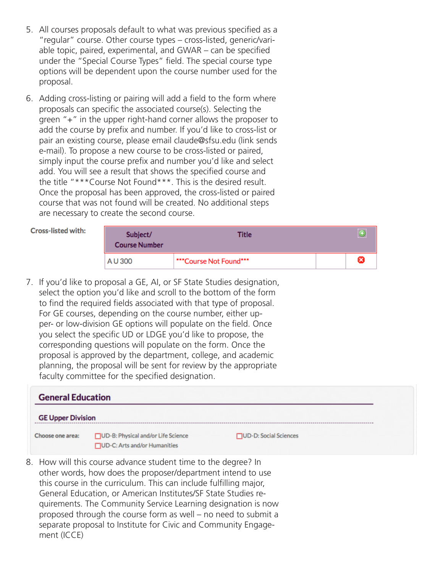- 5. All courses proposals default to what was previous specified as a "regular" course. Other course types – cross-listed, generic/variable topic, paired, experimental, and GWAR – can be specified under the "Special Course Types" field. The special course type options will be dependent upon the course number used for the proposal.
- 6. Adding cross-listing or pairing will add a field to the form where proposals can specific the associated course(s). Selecting the green "+" in the upper right-hand corner allows the proposer to add the course by prefix and number. If you'd like to cross-list or pair an existing course, please email claude@sfsu.edu (link sends e-mail). To propose a new course to be cross-listed or paired, simply input the course prefix and number you'd like and select add. You will see a result that shows the specified course and the title "\*\*\*Course Not Found\*\*\*. This is the desired result. Once the proposal has been approved, the cross-listed or paired course that was not found will be created. No additional steps are necessary to create the second course.

### Cross-listed with:

| Subject/<br><b>Course Number</b> | Title                  |   |
|----------------------------------|------------------------|---|
| A U 300                          | ***Course Not Found*** | × |

7. If you'd like to proposal a GE, AI, or SF State Studies designation, select the option you'd like and scroll to the bottom of the form to find the required fields associated with that type of proposal. For GE courses, depending on the course number, either upper- or low-division GE options will populate on the field. Once you select the specific UD or LDGE you'd like to propose, the corresponding questions will populate on the form. Once the proposal is approved by the department, college, and academic planning, the proposal will be sent for review by the appropriate faculty committee for the specified designation.

| <b>General Education</b> |                                                                    |                               |  |
|--------------------------|--------------------------------------------------------------------|-------------------------------|--|
| <b>GE Upper Division</b> |                                                                    |                               |  |
| Choose one area:         | UD-B: Physical and/or Life Science<br>UD-C: Arts and/or Humanities | <b>NUD-D: Social Sciences</b> |  |

8. How will this course advance student time to the degree? In other words, how does the proposer/department intend to use this course in the curriculum. This can include fulfilling major, General Education, or American Institutes/SF State Studies requirements. The Community Service Learning designation is now proposed through the course form as well – no need to submit a separate proposal to Institute for Civic and Community Engagement (ICCE)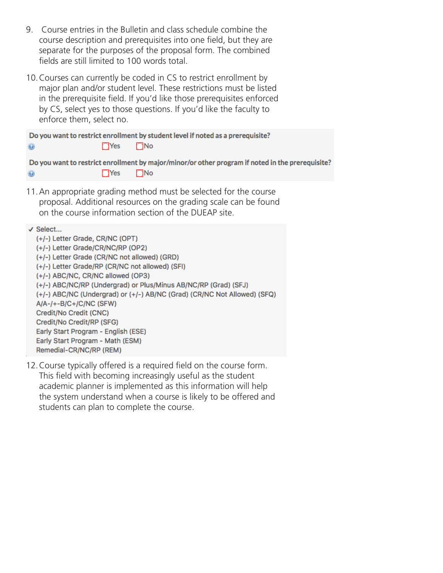- 9. Course entries in the Bulletin and class schedule combine the course description and prerequisites into one field, but they are separate for the purposes of the proposal form. The combined fields are still limited to 100 words total.
- 10.Courses can currently be coded in CS to restrict enrollment by major plan and/or student level. These restrictions must be listed in the prerequisite field. If you'd like those prerequisites enforced by CS, select yes to those questions. If you'd like the faculty to enforce them, select no.

|         |                | Do you want to restrict enrollment by student level if noted as a prerequisite?          |
|---------|----------------|------------------------------------------------------------------------------------------|
| $\odot$ | <b>TYes</b> No |                                                                                          |
| $\odot$ | Yes No         | Do you want to restrict enrollment by major/minor/or other program if noted in the prere |
|         |                |                                                                                          |

quisite?

11.An appropriate grading method must be selected for the course proposal. Additional resources on the grading scale can be found on the course information section of the DUEAP site.

√ Select...

- (+/-) Letter Grade, CR/NC (OPT) (+/-) Letter Grade/CR/NC/RP (OP2) (+/-) Letter Grade (CR/NC not allowed) (GRD) (+/-) Letter Grade/RP (CR/NC not allowed) (SFI) (+/-) ABC/NC, CR/NC allowed (OP3) (+/-) ABC/NC/RP (Undergrad) or Plus/Minus AB/NC/RP (Grad) (SFJ) (+/-) ABC/NC (Undergrad) or (+/-) AB/NC (Grad) (CR/NC Not Allowed) (SFQ)  $A/A$ -/+-B/C+/C/NC (SFW) Credit/No Credit (CNC) Credit/No Credit/RP (SFG) Early Start Program - English (ESE) Early Start Program - Math (ESM) Remedial-CR/NC/RP (REM)
- 12.Course typically offered is a required field on the course form. This field with becoming increasingly useful as the student academic planner is implemented as this information will help the system understand when a course is likely to be offered and students can plan to complete the course.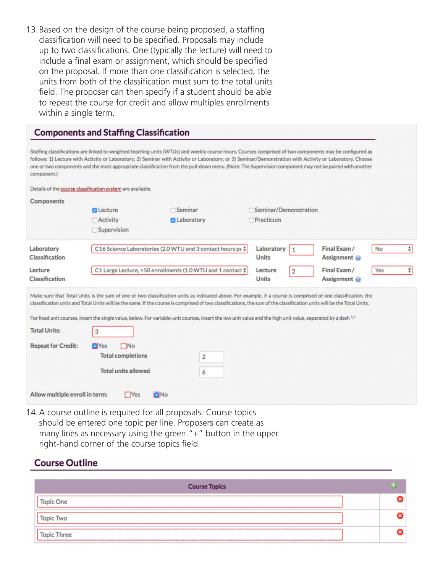13.Based on the design of the course being proposed, a staffing classification will need to be specified. Proposals may include up to two classifications. One (typically the lecture) will need to include a final exam or assignment, which should be specified on the proposal. If more than one classification is selected, the units from both of the classification must sum to the total units field. The proposer can then specify if a student should be able to repeat the course for credit and allow multiples enrollments within a single term.

| Seminar<br><b>Z</b> Laboratory<br>C16 Science Laboratories (2.0 WTU and 3 contact hours pe $\dagger$<br>C1 Large Lecture, >50 enrollments (1.0 WTU and 1 contact $\frac{4}{9}$ | Seminar/Demonstration<br>Practicum<br>Laboratory<br>$\mathbf{1}$<br><b>Units</b><br>Lecture<br><b>Units</b>                                                                                                                                                                                                                                                                                                                                                                                              | Final Exam /<br>Assignment @<br>Final Exam /<br>Assignment @ | No<br>Yes | ÷                   |
|--------------------------------------------------------------------------------------------------------------------------------------------------------------------------------|----------------------------------------------------------------------------------------------------------------------------------------------------------------------------------------------------------------------------------------------------------------------------------------------------------------------------------------------------------------------------------------------------------------------------------------------------------------------------------------------------------|--------------------------------------------------------------|-----------|---------------------|
|                                                                                                                                                                                |                                                                                                                                                                                                                                                                                                                                                                                                                                                                                                          |                                                              |           |                     |
|                                                                                                                                                                                |                                                                                                                                                                                                                                                                                                                                                                                                                                                                                                          |                                                              |           |                     |
|                                                                                                                                                                                |                                                                                                                                                                                                                                                                                                                                                                                                                                                                                                          |                                                              |           |                     |
|                                                                                                                                                                                |                                                                                                                                                                                                                                                                                                                                                                                                                                                                                                          |                                                              |           |                     |
|                                                                                                                                                                                |                                                                                                                                                                                                                                                                                                                                                                                                                                                                                                          |                                                              |           |                     |
|                                                                                                                                                                                |                                                                                                                                                                                                                                                                                                                                                                                                                                                                                                          |                                                              |           |                     |
|                                                                                                                                                                                |                                                                                                                                                                                                                                                                                                                                                                                                                                                                                                          |                                                              |           |                     |
|                                                                                                                                                                                |                                                                                                                                                                                                                                                                                                                                                                                                                                                                                                          |                                                              |           | $\ddot{\mathbf{v}}$ |
|                                                                                                                                                                                |                                                                                                                                                                                                                                                                                                                                                                                                                                                                                                          |                                                              |           |                     |
|                                                                                                                                                                                | Make sure that Total Units is the sum of one or two classification units as indicated above. For example, if a course is comprised of one classification, the<br>classification units and Total Units will be the same. If the course is comprised of two classifications, the sum of the classification units will be the Total Units.<br>For fixed unit courses, insert the single value, below. For variable-unit courses, insert the low unit value and the high unit value, separated by a dash "-" |                                                              |           |                     |
|                                                                                                                                                                                |                                                                                                                                                                                                                                                                                                                                                                                                                                                                                                          |                                                              |           |                     |
| 2                                                                                                                                                                              |                                                                                                                                                                                                                                                                                                                                                                                                                                                                                                          |                                                              |           |                     |
| 6                                                                                                                                                                              |                                                                                                                                                                                                                                                                                                                                                                                                                                                                                                          |                                                              |           |                     |
|                                                                                                                                                                                |                                                                                                                                                                                                                                                                                                                                                                                                                                                                                                          |                                                              |           |                     |

14.A course outline is required for all proposals. Course topics should be entered one topic per line. Proposers can create as many lines as necessary using the green "+" button in the upper right-hand corner of the course topics field.

## **Course Outline**

| <b>Course Topics</b> | (4) |
|----------------------|-----|
| <b>Topic One</b>     |     |
| <b>Topic Two</b>     |     |
| Topic Three          |     |